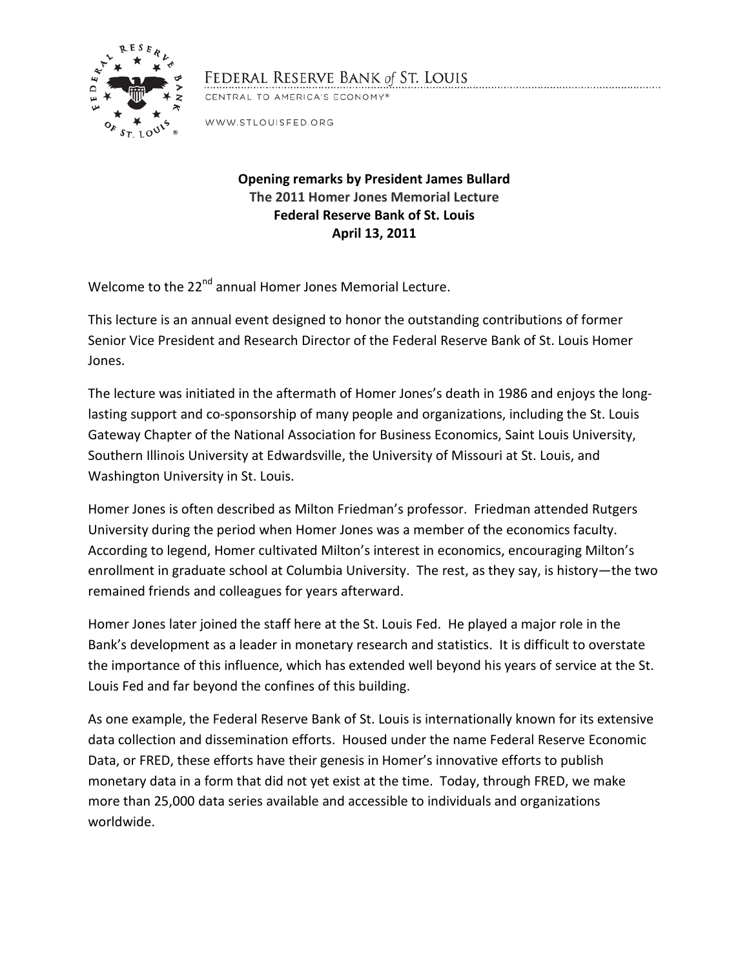

## FEDERAL RESERVE BANK of ST. LOUIS

CENTRAL TO AMERICA'S ECONOMY®

WWW.STLOUISFED.ORG

## **Opening remarks by President James Bullard The 2011 Homer Jones Memorial Lecture Federal Reserve Bank of St. Louis April 13, 2011**

Welcome to the 22<sup>nd</sup> annual Homer Jones Memorial Lecture.

This lecture is an annual event designed to honor the outstanding contributions of former Senior Vice President and Research Director of the Federal Reserve Bank of St. Louis Homer Jones.

The lecture was initiated in the aftermath of Homer Jones's death in 1986 and enjoys the longlasting support and co-sponsorship of many people and organizations, including the St. Louis Gateway Chapter of the National Association for Business Economics, Saint Louis University, Southern Illinois University at Edwardsville, the University of Missouri at St. Louis, and Washington University in St. Louis.

Homer Jones is often described as Milton Friedman's professor. Friedman attended Rutgers University during the period when Homer Jones was a member of the economics faculty. According to legend, Homer cultivated Milton's interest in economics, encouraging Milton's enrollment in graduate school at Columbia University. The rest, as they say, is history—the two remained friends and colleagues for years afterward.

Homer Jones later joined the staff here at the St. Louis Fed. He played a major role in the Bank's development as a leader in monetary research and statistics. It is difficult to overstate the importance of this influence, which has extended well beyond his years of service at the St. Louis Fed and far beyond the confines of this building.

As one example, the Federal Reserve Bank of St. Louis is internationally known for its extensive data collection and dissemination efforts. Housed under the name Federal Reserve Economic Data, or FRED, these efforts have their genesis in Homer's innovative efforts to publish monetary data in a form that did not yet exist at the time. Today, through FRED, we make more than 25,000 data series available and accessible to individuals and organizations worldwide.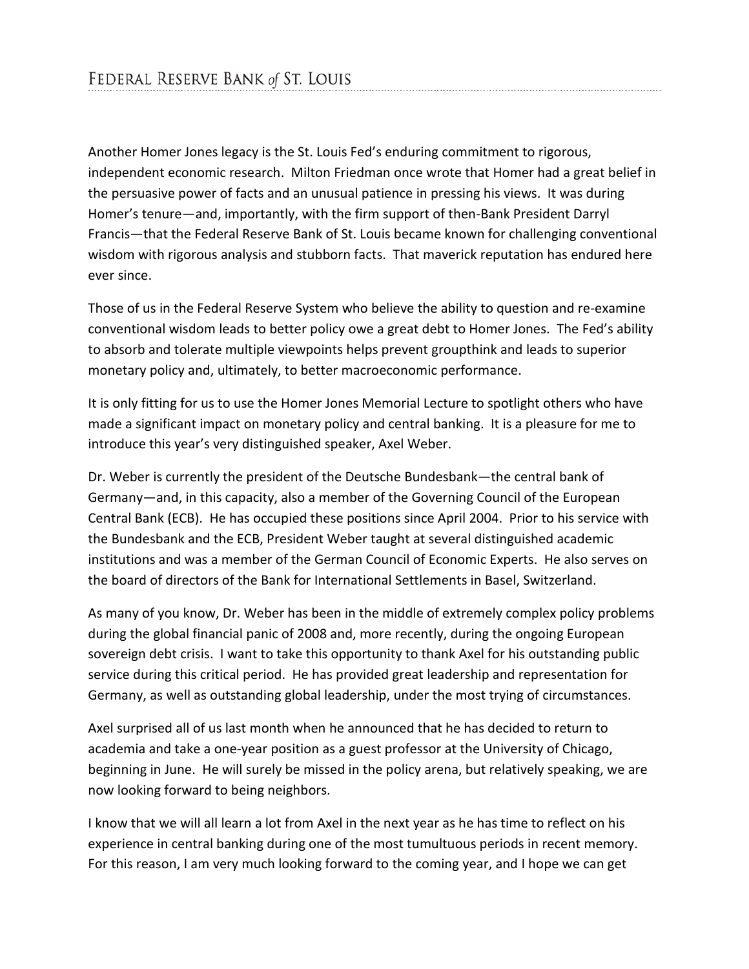Another Homer Jones legacy is the St. Louis Fed's enduring commitment to rigorous, independent economic research. Milton Friedman once wrote that Homer had a great belief in the persuasive power of facts and an unusual patience in pressing his views. It was during Homer's tenure—and, importantly, with the firm support of then-Bank President Darryl Francis—that the Federal Reserve Bank of St. Louis became known for challenging conventional wisdom with rigorous analysis and stubborn facts. That maverick reputation has endured here ever since.

Those of us in the Federal Reserve System who believe the ability to question and re-examine conventional wisdom leads to better policy owe a great debt to Homer Jones. The Fed's ability to absorb and tolerate multiple viewpoints helps prevent groupthink and leads to superior monetary policy and, ultimately, to better macroeconomic performance.

It is only fitting for us to use the Homer Jones Memorial Lecture to spotlight others who have made a significant impact on monetary policy and central banking. It is a pleasure for me to introduce this year's very distinguished speaker, Axel Weber.

Dr. Weber is currently the president of the Deutsche Bundesbank—the central bank of Germany—and, in this capacity, also a member of the Governing Council of the European Central Bank (ECB). He has occupied these positions since April 2004. Prior to his service with the Bundesbank and the ECB, President Weber taught at several distinguished academic institutions and was a member of the German Council of Economic Experts. He also serves on the board of directors of the Bank for International Settlements in Basel, Switzerland.

As many of you know, Dr. Weber has been in the middle of extremely complex policy problems during the global financial panic of 2008 and, more recently, during the ongoing European sovereign debt crisis. I want to take this opportunity to thank Axel for his outstanding public service during this critical period. He has provided great leadership and representation for Germany, as well as outstanding global leadership, under the most trying of circumstances.

Axel surprised all of us last month when he announced that he has decided to return to academia and take a one-year position as a guest professor at the University of Chicago, beginning in June. He will surely be missed in the policy arena, but relatively speaking, we are now looking forward to being neighbors.

I know that we will all learn a lot from Axel in the next year as he has time to reflect on his experience in central banking during one of the most tumultuous periods in recent memory. For this reason, I am very much looking forward to the coming year, and I hope we can get